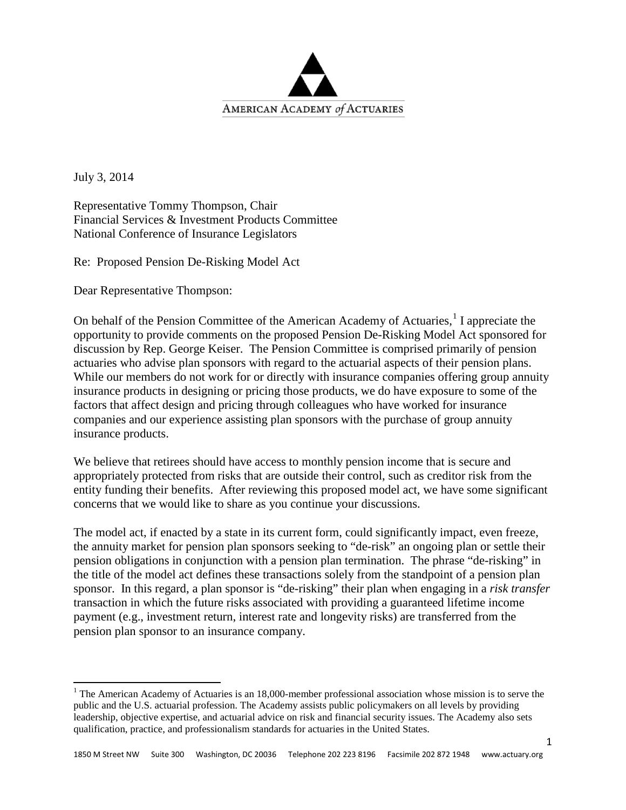

July 3, 2014

Representative Tommy Thompson, Chair Financial Services & Investment Products Committee National Conference of Insurance Legislators

Re: Proposed Pension De-Risking Model Act

Dear Representative Thompson:

On behalf of the Pension Committee of the American Academy of Actuaries,<sup>[1](#page-0-0)</sup> I appreciate the opportunity to provide comments on the proposed Pension De-Risking Model Act sponsored for discussion by Rep. George Keiser. The Pension Committee is comprised primarily of pension actuaries who advise plan sponsors with regard to the actuarial aspects of their pension plans. While our members do not work for or directly with insurance companies offering group annuity insurance products in designing or pricing those products, we do have exposure to some of the factors that affect design and pricing through colleagues who have worked for insurance companies and our experience assisting plan sponsors with the purchase of group annuity insurance products.

We believe that retirees should have access to monthly pension income that is secure and appropriately protected from risks that are outside their control, such as creditor risk from the entity funding their benefits. After reviewing this proposed model act, we have some significant concerns that we would like to share as you continue your discussions.

The model act, if enacted by a state in its current form, could significantly impact, even freeze, the annuity market for pension plan sponsors seeking to "de-risk" an ongoing plan or settle their pension obligations in conjunction with a pension plan termination. The phrase "de-risking" in the title of the model act defines these transactions solely from the standpoint of a pension plan sponsor. In this regard, a plan sponsor is "de-risking" their plan when engaging in a *risk transfer* transaction in which the future risks associated with providing a guaranteed lifetime income payment (e.g., investment return, interest rate and longevity risks) are transferred from the pension plan sponsor to an insurance company.

<span id="page-0-0"></span><sup>&</sup>lt;sup>1</sup> The American Academy of Actuaries is an 18,000-member professional association whose mission is to serve the public and the U.S. actuarial profession. The Academy assists public policymakers on all levels by providing leadership, objective expertise, and actuarial advice on risk and financial security issues. The Academy also sets qualification, practice, and professionalism standards for actuaries in the United States.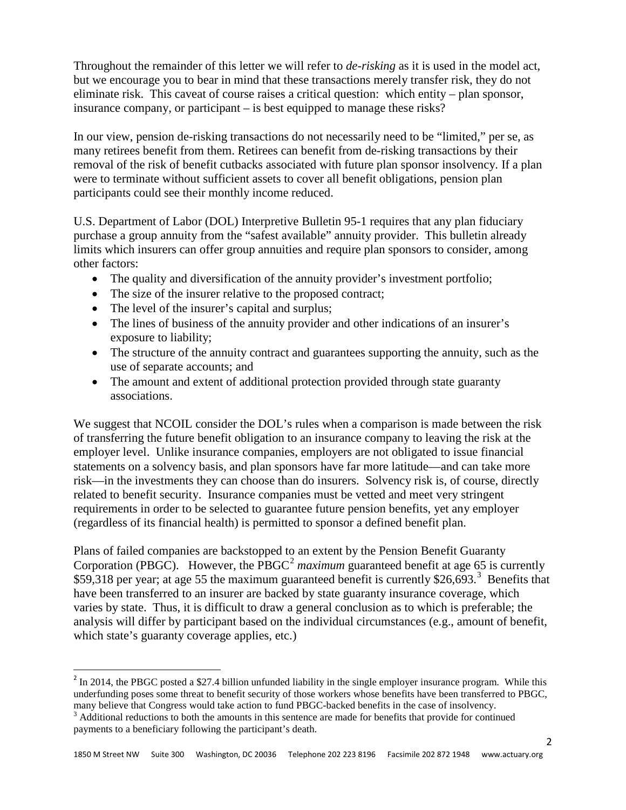Throughout the remainder of this letter we will refer to *de-risking* as it is used in the model act, but we encourage you to bear in mind that these transactions merely transfer risk, they do not eliminate risk. This caveat of course raises a critical question: which entity – plan sponsor, insurance company, or participant – is best equipped to manage these risks?

In our view, pension de-risking transactions do not necessarily need to be "limited," per se, as many retirees benefit from them. Retirees can benefit from de-risking transactions by their removal of the risk of benefit cutbacks associated with future plan sponsor insolvency. If a plan were to terminate without sufficient assets to cover all benefit obligations, pension plan participants could see their monthly income reduced.

U.S. Department of Labor (DOL) Interpretive Bulletin 95-1 requires that any plan fiduciary purchase a group annuity from the "safest available" annuity provider. This bulletin already limits which insurers can offer group annuities and require plan sponsors to consider, among other factors:

- The quality and diversification of the annuity provider's investment portfolio;
- The size of the insurer relative to the proposed contract;
- The level of the insurer's capital and surplus;
- The lines of business of the annuity provider and other indications of an insurer's exposure to liability;
- The structure of the annuity contract and guarantees supporting the annuity, such as the use of separate accounts; and
- The amount and extent of additional protection provided through state guaranty associations.

We suggest that NCOIL consider the DOL's rules when a comparison is made between the risk of transferring the future benefit obligation to an insurance company to leaving the risk at the employer level. Unlike insurance companies, employers are not obligated to issue financial statements on a solvency basis, and plan sponsors have far more latitude—and can take more risk—in the investments they can choose than do insurers. Solvency risk is, of course, directly related to benefit security. Insurance companies must be vetted and meet very stringent requirements in order to be selected to guarantee future pension benefits, yet any employer (regardless of its financial health) is permitted to sponsor a defined benefit plan.

Plans of failed companies are backstopped to an extent by the Pension Benefit Guaranty Corporation (PBGC). However, the PBGC<sup>[2](#page-1-0)</sup> maximum guaranteed benefit at age 65 is currently \$59,[3](#page-1-1)18 per year; at age 55 the maximum guaranteed benefit is currently \$26,693.<sup>3</sup> Benefits that have been transferred to an insurer are backed by state guaranty insurance coverage, which varies by state. Thus, it is difficult to draw a general conclusion as to which is preferable; the analysis will differ by participant based on the individual circumstances (e.g., amount of benefit, which state's guaranty coverage applies, etc.)

<span id="page-1-0"></span> $^{2}$  In 2014, the PBGC posted a \$27.4 billion unfunded liability in the single employer insurance program. While this underfunding poses some threat to benefit security of those workers whose benefits have been transferred to PBGC, many believe that Congress would take action to fund PBGC-backed benefits in the case of insolvency.

<span id="page-1-1"></span> $3$  Additional reductions to both the amounts in this sentence are made for benefits that provide for continued payments to a beneficiary following the participant's death.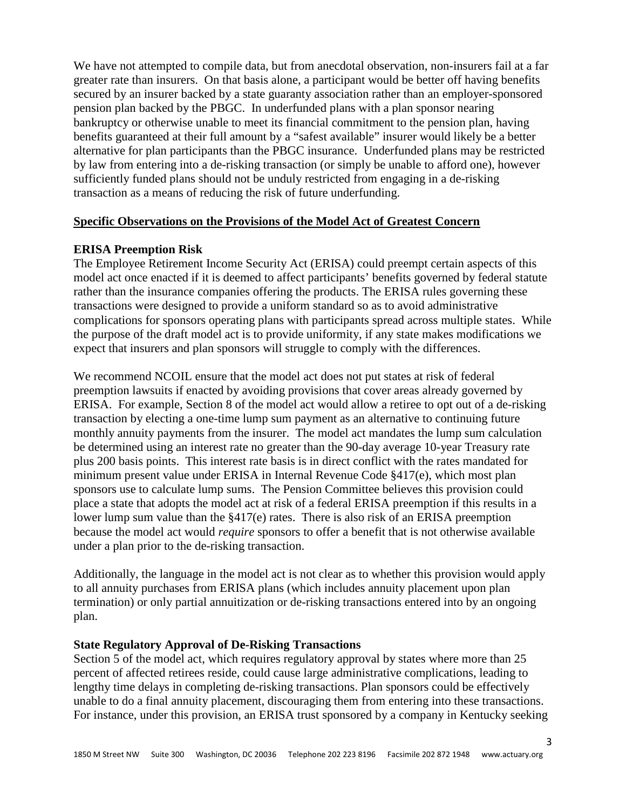We have not attempted to compile data, but from anecdotal observation, non-insurers fail at a far greater rate than insurers. On that basis alone, a participant would be better off having benefits secured by an insurer backed by a state guaranty association rather than an employer-sponsored pension plan backed by the PBGC. In underfunded plans with a plan sponsor nearing bankruptcy or otherwise unable to meet its financial commitment to the pension plan, having benefits guaranteed at their full amount by a "safest available" insurer would likely be a better alternative for plan participants than the PBGC insurance. Underfunded plans may be restricted by law from entering into a de-risking transaction (or simply be unable to afford one), however sufficiently funded plans should not be unduly restricted from engaging in a de-risking transaction as a means of reducing the risk of future underfunding.

# **Specific Observations on the Provisions of the Model Act of Greatest Concern**

# **ERISA Preemption Risk**

The Employee Retirement Income Security Act (ERISA) could preempt certain aspects of this model act once enacted if it is deemed to affect participants' benefits governed by federal statute rather than the insurance companies offering the products. The ERISA rules governing these transactions were designed to provide a uniform standard so as to avoid administrative complications for sponsors operating plans with participants spread across multiple states. While the purpose of the draft model act is to provide uniformity, if any state makes modifications we expect that insurers and plan sponsors will struggle to comply with the differences.

We recommend NCOIL ensure that the model act does not put states at risk of federal preemption lawsuits if enacted by avoiding provisions that cover areas already governed by ERISA. For example, Section 8 of the model act would allow a retiree to opt out of a de-risking transaction by electing a one-time lump sum payment as an alternative to continuing future monthly annuity payments from the insurer. The model act mandates the lump sum calculation be determined using an interest rate no greater than the 90-day average 10-year Treasury rate plus 200 basis points. This interest rate basis is in direct conflict with the rates mandated for minimum present value under ERISA in Internal Revenue Code §417(e), which most plan sponsors use to calculate lump sums. The Pension Committee believes this provision could place a state that adopts the model act at risk of a federal ERISA preemption if this results in a lower lump sum value than the §417(e) rates. There is also risk of an ERISA preemption because the model act would *require* sponsors to offer a benefit that is not otherwise available under a plan prior to the de-risking transaction.

Additionally, the language in the model act is not clear as to whether this provision would apply to all annuity purchases from ERISA plans (which includes annuity placement upon plan termination) or only partial annuitization or de-risking transactions entered into by an ongoing plan.

## **State Regulatory Approval of De-Risking Transactions**

Section 5 of the model act, which requires regulatory approval by states where more than 25 percent of affected retirees reside, could cause large administrative complications, leading to lengthy time delays in completing de-risking transactions. Plan sponsors could be effectively unable to do a final annuity placement, discouraging them from entering into these transactions. For instance, under this provision, an ERISA trust sponsored by a company in Kentucky seeking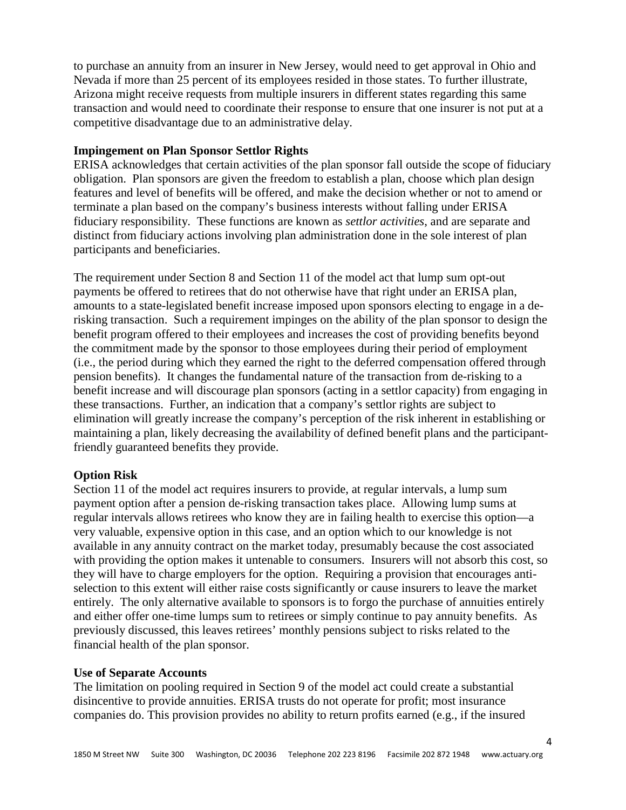to purchase an annuity from an insurer in New Jersey, would need to get approval in Ohio and Nevada if more than 25 percent of its employees resided in those states. To further illustrate, Arizona might receive requests from multiple insurers in different states regarding this same transaction and would need to coordinate their response to ensure that one insurer is not put at a competitive disadvantage due to an administrative delay.

## **Impingement on Plan Sponsor Settlor Rights**

ERISA acknowledges that certain activities of the plan sponsor fall outside the scope of fiduciary obligation. Plan sponsors are given the freedom to establish a plan, choose which plan design features and level of benefits will be offered, and make the decision whether or not to amend or terminate a plan based on the company's business interests without falling under ERISA fiduciary responsibility. These functions are known as *settlor activities*, and are separate and distinct from fiduciary actions involving plan administration done in the sole interest of plan participants and beneficiaries.

The requirement under Section 8 and Section 11 of the model act that lump sum opt-out payments be offered to retirees that do not otherwise have that right under an ERISA plan, amounts to a state-legislated benefit increase imposed upon sponsors electing to engage in a derisking transaction. Such a requirement impinges on the ability of the plan sponsor to design the benefit program offered to their employees and increases the cost of providing benefits beyond the commitment made by the sponsor to those employees during their period of employment (i.e., the period during which they earned the right to the deferred compensation offered through pension benefits). It changes the fundamental nature of the transaction from de-risking to a benefit increase and will discourage plan sponsors (acting in a settlor capacity) from engaging in these transactions. Further, an indication that a company's settlor rights are subject to elimination will greatly increase the company's perception of the risk inherent in establishing or maintaining a plan, likely decreasing the availability of defined benefit plans and the participantfriendly guaranteed benefits they provide.

# **Option Risk**

Section 11 of the model act requires insurers to provide, at regular intervals, a lump sum payment option after a pension de-risking transaction takes place. Allowing lump sums at regular intervals allows retirees who know they are in failing health to exercise this option—a very valuable, expensive option in this case, and an option which to our knowledge is not available in any annuity contract on the market today, presumably because the cost associated with providing the option makes it untenable to consumers. Insurers will not absorb this cost, so they will have to charge employers for the option. Requiring a provision that encourages antiselection to this extent will either raise costs significantly or cause insurers to leave the market entirely. The only alternative available to sponsors is to forgo the purchase of annuities entirely and either offer one-time lumps sum to retirees or simply continue to pay annuity benefits. As previously discussed, this leaves retirees' monthly pensions subject to risks related to the financial health of the plan sponsor.

## **Use of Separate Accounts**

The limitation on pooling required in Section 9 of the model act could create a substantial disincentive to provide annuities. ERISA trusts do not operate for profit; most insurance companies do. This provision provides no ability to return profits earned (e.g., if the insured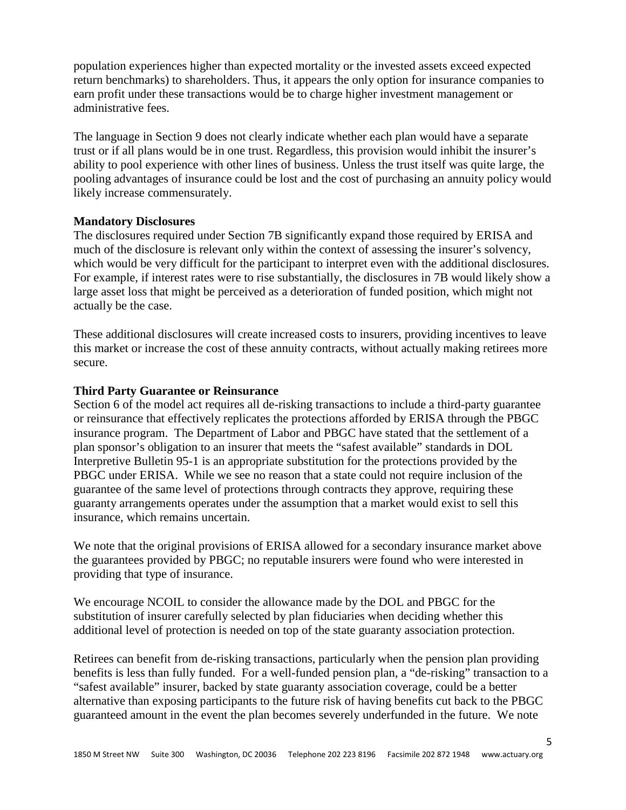population experiences higher than expected mortality or the invested assets exceed expected return benchmarks) to shareholders. Thus, it appears the only option for insurance companies to earn profit under these transactions would be to charge higher investment management or administrative fees.

The language in Section 9 does not clearly indicate whether each plan would have a separate trust or if all plans would be in one trust. Regardless, this provision would inhibit the insurer's ability to pool experience with other lines of business. Unless the trust itself was quite large, the pooling advantages of insurance could be lost and the cost of purchasing an annuity policy would likely increase commensurately.

## **Mandatory Disclosures**

The disclosures required under Section 7B significantly expand those required by ERISA and much of the disclosure is relevant only within the context of assessing the insurer's solvency, which would be very difficult for the participant to interpret even with the additional disclosures. For example, if interest rates were to rise substantially, the disclosures in 7B would likely show a large asset loss that might be perceived as a deterioration of funded position, which might not actually be the case.

These additional disclosures will create increased costs to insurers, providing incentives to leave this market or increase the cost of these annuity contracts, without actually making retirees more secure.

# **Third Party Guarantee or Reinsurance**

Section 6 of the model act requires all de-risking transactions to include a third-party guarantee or reinsurance that effectively replicates the protections afforded by ERISA through the PBGC insurance program. The Department of Labor and PBGC have stated that the settlement of a plan sponsor's obligation to an insurer that meets the "safest available" standards in DOL Interpretive Bulletin 95-1 is an appropriate substitution for the protections provided by the PBGC under ERISA. While we see no reason that a state could not require inclusion of the guarantee of the same level of protections through contracts they approve, requiring these guaranty arrangements operates under the assumption that a market would exist to sell this insurance, which remains uncertain.

We note that the original provisions of ERISA allowed for a secondary insurance market above the guarantees provided by PBGC; no reputable insurers were found who were interested in providing that type of insurance.

We encourage NCOIL to consider the allowance made by the DOL and PBGC for the substitution of insurer carefully selected by plan fiduciaries when deciding whether this additional level of protection is needed on top of the state guaranty association protection.

Retirees can benefit from de-risking transactions, particularly when the pension plan providing benefits is less than fully funded. For a well-funded pension plan, a "de-risking" transaction to a "safest available" insurer, backed by state guaranty association coverage, could be a better alternative than exposing participants to the future risk of having benefits cut back to the PBGC guaranteed amount in the event the plan becomes severely underfunded in the future. We note